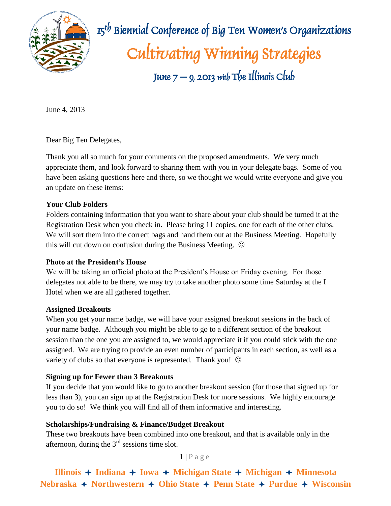

 $\mathbb{R}$   $\mathbb{R}$   $\mathbb{R}$   $\mathbb{R}$   $\mathbb{R}$   $\mathbb{R}$   $\mathbb{R}$  Biennial Conference of Big Ten Women's Organizations Cultivating Winning Strategies June  $7 - 9$ , 2013 with The Illinois Club

June 4, 2013

Dear Big Ten Delegates,

Thank you all so much for your comments on the proposed amendments. We very much appreciate them, and look forward to sharing them with you in your delegate bags. Some of you have been asking questions here and there, so we thought we would write everyone and give you an update on these items:

# **Your Club Folders**

Folders containing information that you want to share about your club should be turned it at the Registration Desk when you check in. Please bring 11 copies, one for each of the other clubs. We will sort them into the correct bags and hand them out at the Business Meeting. Hopefully this will cut down on confusion during the Business Meeting.  $\odot$ 

# **Photo at the President's House**

We will be taking an official photo at the President's House on Friday evening. For those delegates not able to be there, we may try to take another photo some time Saturday at the I Hotel when we are all gathered together.

# **Assigned Breakouts**

When you get your name badge, we will have your assigned breakout sessions in the back of your name badge. Although you might be able to go to a different section of the breakout session than the one you are assigned to, we would appreciate it if you could stick with the one assigned. We are trying to provide an even number of participants in each section, as well as a variety of clubs so that everyone is represented. Thank you!  $\odot$ 

# **Signing up for Fewer than 3 Breakouts**

If you decide that you would like to go to another breakout session (for those that signed up for less than 3), you can sign up at the Registration Desk for more sessions. We highly encourage you to do so! We think you will find all of them informative and interesting.

# **Scholarships/Fundraising & Finance/Budget Breakout**

These two breakouts have been combined into one breakout, and that is available only in the afternoon, during the  $3<sup>rd</sup>$  sessions time slot.

 $1$  | P a g e

**Illinois**  $\rightarrow$  **Indiana**  $\rightarrow$  **Iowa**  $\rightarrow$  **Michigan** State  $\rightarrow$  **Michigan**  $\rightarrow$  **Minnesota Nebraska** + Northwestern + Ohio State + Penn State + Purdue + Wisconsin